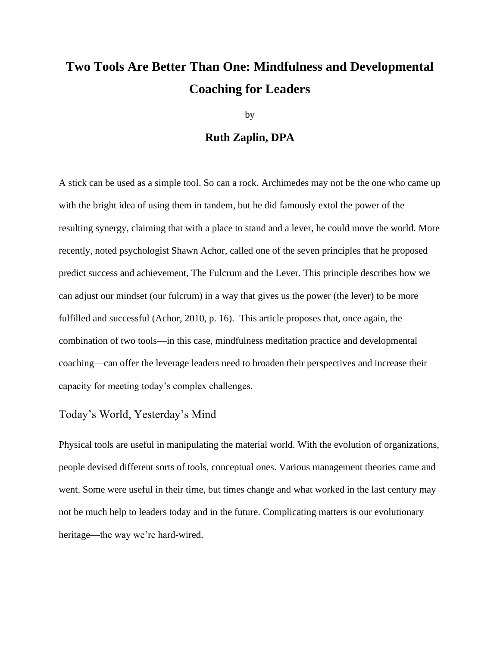# **Two Tools Are Better Than One: Mindfulness and Developmental Coaching for Leaders**

by

### **Ruth Zaplin, DPA**

A stick can be used as a simple tool. So can a rock. Archimedes may not be the one who came up with the bright idea of using them in tandem, but he did famously extol the power of the resulting synergy, claiming that with a place to stand and a lever, he could move the world. More recently, noted psychologist Shawn Achor, called one of the seven principles that he proposed predict success and achievement, The Fulcrum and the Lever. This principle describes how we can adjust our mindset (our fulcrum) in a way that gives us the power (the lever) to be more fulfilled and successful (Achor, 2010, p. 16). This article proposes that, once again, the combination of two tools—in this case, mindfulness meditation practice and developmental coaching—can offer the leverage leaders need to broaden their perspectives and increase their capacity for meeting today's complex challenges.

## Today's World, Yesterday's Mind

Physical tools are useful in manipulating the material world. With the evolution of organizations, people devised different sorts of tools, conceptual ones. Various management theories came and went. Some were useful in their time, but times change and what worked in the last century may not be much help to leaders today and in the future. Complicating matters is our evolutionary heritage—the way we're hard-wired.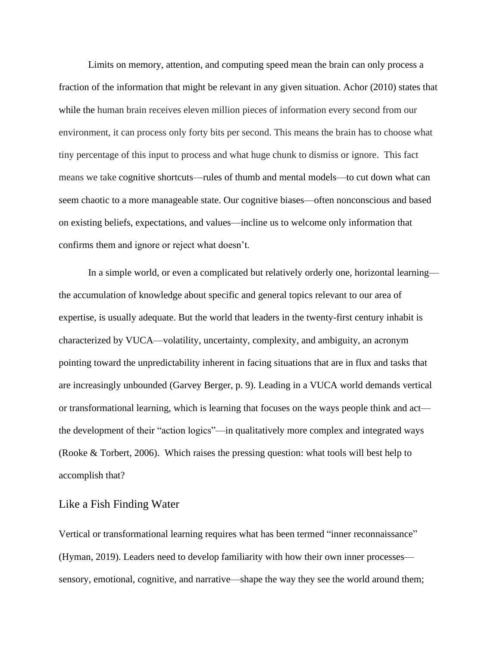Limits on memory, attention, and computing speed mean the brain can only process a fraction of the information that might be relevant in any given situation. Achor (2010) states that while the human brain receives eleven million pieces of information every second from our environment, it can process only forty bits per second. This means the brain has to choose what tiny percentage of this input to process and what huge chunk to dismiss or ignore. This fact means we take cognitive shortcuts—rules of thumb and mental models—to cut down what can seem chaotic to a more manageable state. Our cognitive biases—often nonconscious and based on existing beliefs, expectations, and values—incline us to welcome only information that confirms them and ignore or reject what doesn't.

In a simple world, or even a complicated but relatively orderly one, horizontal learning the accumulation of knowledge about specific and general topics relevant to our area of expertise, is usually adequate. But the world that leaders in the twenty-first century inhabit is characterized by VUCA—volatility, uncertainty, complexity, and ambiguity, an acronym pointing toward the unpredictability inherent in facing situations that are in flux and tasks that are increasingly unbounded (Garvey Berger, p. 9). Leading in a VUCA world demands vertical or transformational learning, which is learning that focuses on the ways people think and act the development of their "action logics"—in qualitatively more complex and integrated ways (Rooke & Torbert, 2006). Which raises the pressing question: what tools will best help to accomplish that?

#### Like a Fish Finding Water

Vertical or transformational learning requires what has been termed "inner reconnaissance" (Hyman, 2019). Leaders need to develop familiarity with how their own inner processes sensory, emotional, cognitive, and narrative—shape the way they see the world around them;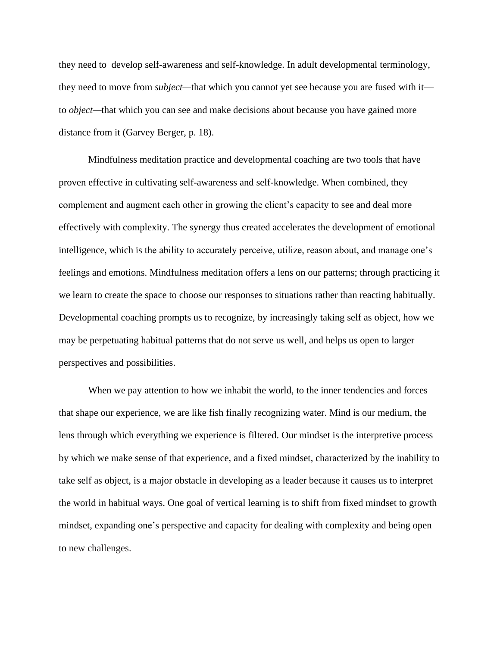they need to develop self-awareness and self-knowledge. In adult developmental terminology, they need to move from *subject—*that which you cannot yet see because you are fused with it to *object—*that which you can see and make decisions about because you have gained more distance from it (Garvey Berger, p. 18).

Mindfulness meditation practice and developmental coaching are two tools that have proven effective in cultivating self-awareness and self-knowledge. When combined, they complement and augment each other in growing the client's capacity to see and deal more effectively with complexity. The synergy thus created accelerates the development of emotional intelligence, which is the ability to accurately perceive, utilize, reason about, and manage one's feelings and emotions. Mindfulness meditation offers a lens on our patterns; through practicing it we learn to create the space to choose our responses to situations rather than reacting habitually. Developmental coaching prompts us to recognize, by increasingly taking self as object, how we may be perpetuating habitual patterns that do not serve us well, and helps us open to larger perspectives and possibilities.

When we pay attention to how we inhabit the world, to the inner tendencies and forces that shape our experience, we are like fish finally recognizing water. Mind is our medium, the lens through which everything we experience is filtered. Our mindset is the interpretive process by which we make sense of that experience, and a fixed mindset, characterized by the inability to take self as object, is a major obstacle in developing as a leader because it causes us to interpret the world in habitual ways. One goal of vertical learning is to shift from fixed mindset to growth mindset, expanding one's perspective and capacity for dealing with complexity and being open to new challenges.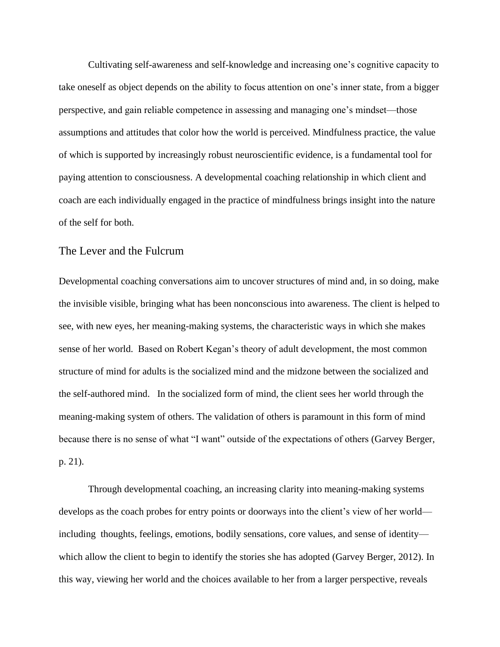Cultivating self-awareness and self-knowledge and increasing one's cognitive capacity to take oneself as object depends on the ability to focus attention on one's inner state, from a bigger perspective, and gain reliable competence in assessing and managing one's mindset—those assumptions and attitudes that color how the world is perceived. Mindfulness practice, the value of which is supported by increasingly robust neuroscientific evidence, is a fundamental tool for paying attention to consciousness. A developmental coaching relationship in which client and coach are each individually engaged in the practice of mindfulness brings insight into the nature of the self for both.

#### The Lever and the Fulcrum

Developmental coaching conversations aim to uncover structures of mind and, in so doing, make the invisible visible, bringing what has been nonconscious into awareness. The client is helped to see, with new eyes, her meaning-making systems, the characteristic ways in which she makes sense of her world. Based on Robert Kegan's theory of adult development, the most common structure of mind for adults is the socialized mind and the midzone between the socialized and the self-authored mind. In the socialized form of mind, the client sees her world through the meaning-making system of others. The validation of others is paramount in this form of mind because there is no sense of what "I want" outside of the expectations of others (Garvey Berger, p. 21).

Through developmental coaching, an increasing clarity into meaning-making systems develops as the coach probes for entry points or doorways into the client's view of her world including thoughts, feelings, emotions, bodily sensations, core values, and sense of identity which allow the client to begin to identify the stories she has adopted (Garvey Berger, 2012). In this way, viewing her world and the choices available to her from a larger perspective, reveals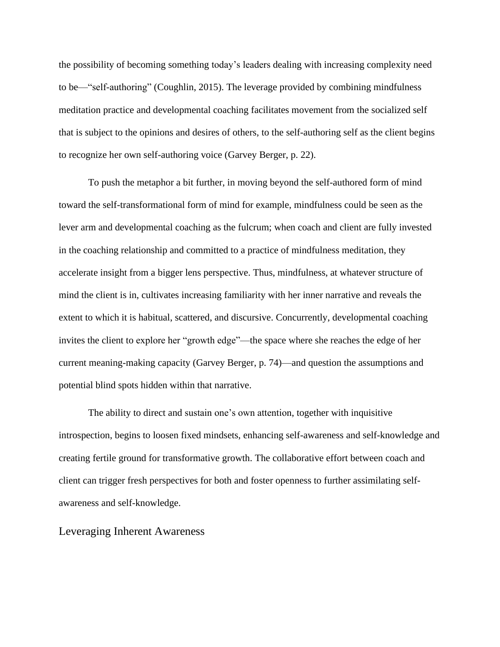the possibility of becoming something today's leaders dealing with increasing complexity need to be—"self-authoring" (Coughlin, 2015). The leverage provided by combining mindfulness meditation practice and developmental coaching facilitates movement from the socialized self that is subject to the opinions and desires of others, to the self-authoring self as the client begins to recognize her own self-authoring voice (Garvey Berger, p. 22).

To push the metaphor a bit further, in moving beyond the self-authored form of mind toward the self-transformational form of mind for example, mindfulness could be seen as the lever arm and developmental coaching as the fulcrum; when coach and client are fully invested in the coaching relationship and committed to a practice of mindfulness meditation, they accelerate insight from a bigger lens perspective. Thus, mindfulness, at whatever structure of mind the client is in, cultivates increasing familiarity with her inner narrative and reveals the extent to which it is habitual, scattered, and discursive. Concurrently, developmental coaching invites the client to explore her "growth edge"—the space where she reaches the edge of her current meaning-making capacity (Garvey Berger, p. 74)—and question the assumptions and potential blind spots hidden within that narrative.

The ability to direct and sustain one's own attention, together with inquisitive introspection, begins to loosen fixed mindsets, enhancing self-awareness and self-knowledge and creating fertile ground for transformative growth. The collaborative effort between coach and client can trigger fresh perspectives for both and foster openness to further assimilating selfawareness and self-knowledge.

#### Leveraging Inherent Awareness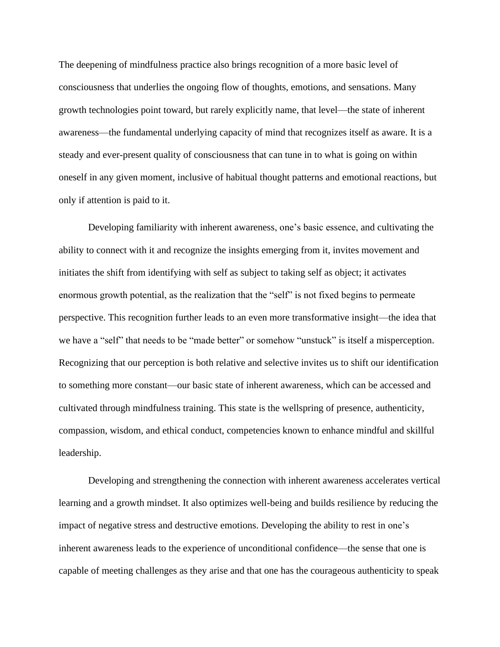The deepening of mindfulness practice also brings recognition of a more basic level of consciousness that underlies the ongoing flow of thoughts, emotions, and sensations. Many growth technologies point toward, but rarely explicitly name, that level—the state of inherent awareness—the fundamental underlying capacity of mind that recognizes itself as aware. It is a steady and ever-present quality of consciousness that can tune in to what is going on within oneself in any given moment, inclusive of habitual thought patterns and emotional reactions, but only if attention is paid to it.

Developing familiarity with inherent awareness, one's basic essence, and cultivating the ability to connect with it and recognize the insights emerging from it, invites movement and initiates the shift from identifying with self as subject to taking self as object; it activates enormous growth potential, as the realization that the "self" is not fixed begins to permeate perspective. This recognition further leads to an even more transformative insight—the idea that we have a "self" that needs to be "made better" or somehow "unstuck" is itself a misperception. Recognizing that our perception is both relative and selective invites us to shift our identification to something more constant—our basic state of inherent awareness, which can be accessed and cultivated through mindfulness training. This state is the wellspring of presence, authenticity, compassion, wisdom, and ethical conduct, competencies known to enhance mindful and skillful leadership.

Developing and strengthening the connection with inherent awareness accelerates vertical learning and a growth mindset. It also optimizes well-being and builds resilience by reducing the impact of negative stress and destructive emotions. Developing the ability to rest in one's inherent awareness leads to the experience of unconditional confidence—the sense that one is capable of meeting challenges as they arise and that one has the courageous authenticity to speak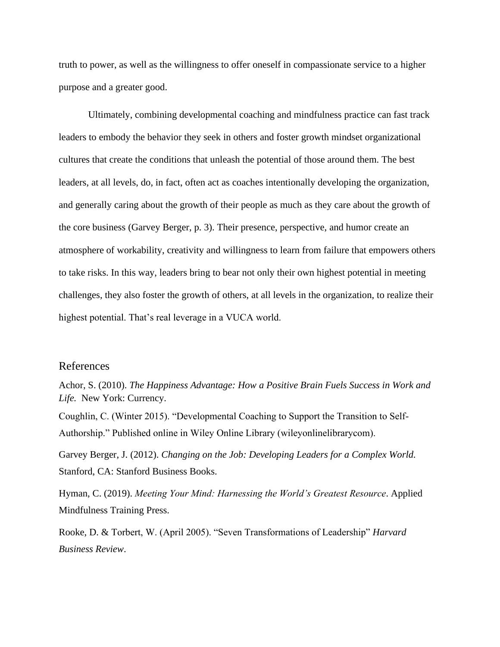truth to power, as well as the willingness to offer oneself in compassionate service to a higher purpose and a greater good.

Ultimately, combining developmental coaching and mindfulness practice can fast track leaders to embody the behavior they seek in others and foster growth mindset organizational cultures that create the conditions that unleash the potential of those around them. The best leaders, at all levels, do, in fact, often act as coaches intentionally developing the organization, and generally caring about the growth of their people as much as they care about the growth of the core business (Garvey Berger, p. 3). Their presence, perspective, and humor create an atmosphere of workability, creativity and willingness to learn from failure that empowers others to take risks. In this way, leaders bring to bear not only their own highest potential in meeting challenges, they also foster the growth of others, at all levels in the organization, to realize their highest potential. That's real leverage in a VUCA world.

#### References

Achor, S. (2010). *The Happiness Advantage: How a Positive Brain Fuels Success in Work and Life.* New York: Currency.

Coughlin, C. (Winter 2015). "Developmental Coaching to Support the Transition to Self-Authorship." Published online in Wiley Online Library (wileyonlinelibrarycom).

Garvey Berger, J. (2012). *Changing on the Job: Developing Leaders for a Complex World.*  Stanford, CA: Stanford Business Books.

Hyman, C. (2019). *Meeting Your Mind: Harnessing the World's Greatest Resource*. Applied Mindfulness Training Press.

Rooke, D. & Torbert, W. (April 2005). "Seven Transformations of Leadership" *Harvard Business Review*.